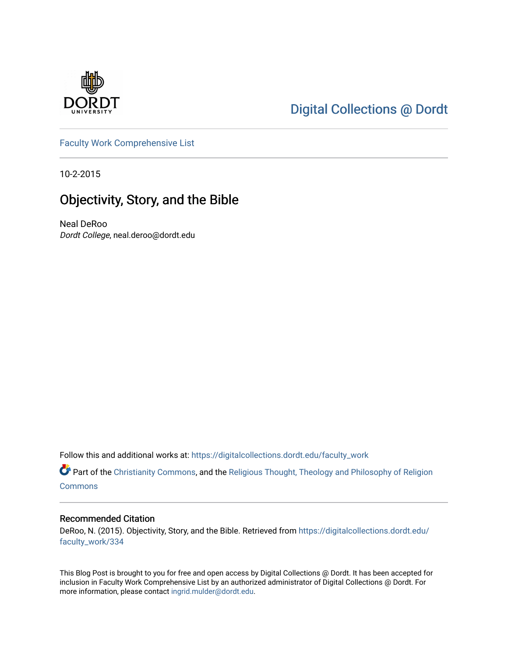

# [Digital Collections @ Dordt](https://digitalcollections.dordt.edu/)

[Faculty Work Comprehensive List](https://digitalcollections.dordt.edu/faculty_work)

10-2-2015

## Objectivity, Story, and the Bible

Neal DeRoo Dordt College, neal.deroo@dordt.edu

Follow this and additional works at: [https://digitalcollections.dordt.edu/faculty\\_work](https://digitalcollections.dordt.edu/faculty_work?utm_source=digitalcollections.dordt.edu%2Ffaculty_work%2F334&utm_medium=PDF&utm_campaign=PDFCoverPages) 

Part of the [Christianity Commons,](http://network.bepress.com/hgg/discipline/1181?utm_source=digitalcollections.dordt.edu%2Ffaculty_work%2F334&utm_medium=PDF&utm_campaign=PDFCoverPages) and the Religious Thought, Theology and Philosophy of Religion [Commons](http://network.bepress.com/hgg/discipline/544?utm_source=digitalcollections.dordt.edu%2Ffaculty_work%2F334&utm_medium=PDF&utm_campaign=PDFCoverPages)

#### Recommended Citation

DeRoo, N. (2015). Objectivity, Story, and the Bible. Retrieved from [https://digitalcollections.dordt.edu/](https://digitalcollections.dordt.edu/faculty_work/334?utm_source=digitalcollections.dordt.edu%2Ffaculty_work%2F334&utm_medium=PDF&utm_campaign=PDFCoverPages) [faculty\\_work/334](https://digitalcollections.dordt.edu/faculty_work/334?utm_source=digitalcollections.dordt.edu%2Ffaculty_work%2F334&utm_medium=PDF&utm_campaign=PDFCoverPages)

This Blog Post is brought to you for free and open access by Digital Collections @ Dordt. It has been accepted for inclusion in Faculty Work Comprehensive List by an authorized administrator of Digital Collections @ Dordt. For more information, please contact [ingrid.mulder@dordt.edu.](mailto:ingrid.mulder@dordt.edu)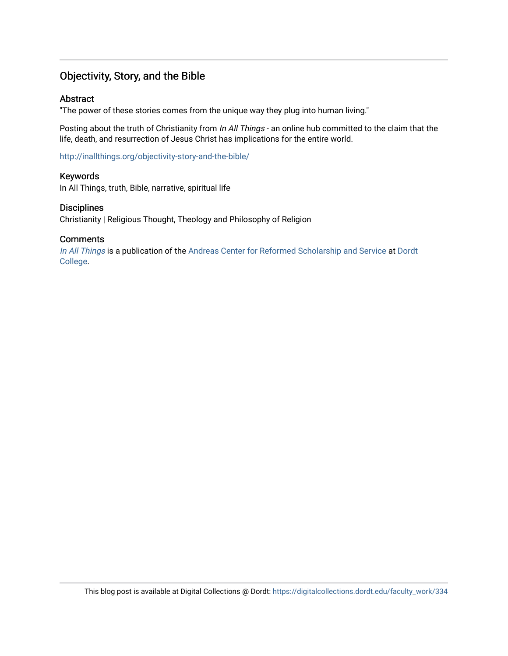## Objectivity, Story, and the Bible

#### Abstract

"The power of these stories comes from the unique way they plug into human living."

Posting about the truth of Christianity from In All Things - an online hub committed to the claim that the life, death, and resurrection of Jesus Christ has implications for the entire world.

<http://inallthings.org/objectivity-story-and-the-bible/>

#### Keywords

In All Things, truth, Bible, narrative, spiritual life

#### **Disciplines**

Christianity | Religious Thought, Theology and Philosophy of Religion

#### **Comments**

[In All Things](http://inallthings.org/) is a publication of the [Andreas Center for Reformed Scholarship and Service](http://www.dordt.edu/services_support/andreas_center/) at Dordt [College](http://www.dordt.edu/).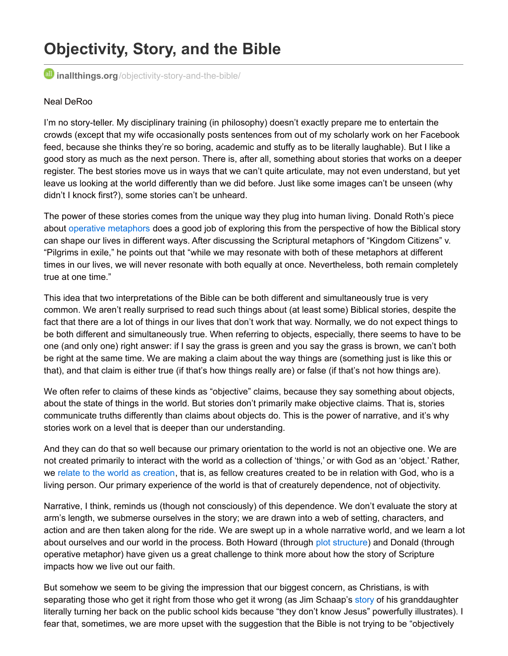# **Objectivity, Story, and the Bible**

*inallthings.org[/objectivity-story-and-the-bible/](http://inallthings.org/objectivity-story-and-the-bible/)* 

#### Neal DeRoo

I'm no story-teller. My disciplinary training (in philosophy) doesn't exactly prepare me to entertain the crowds (except that my wife occasionally posts sentences from out of my scholarly work on her Facebook feed, because she thinks they're so boring, academic and stuffy as to be literally laughable). But I like a good story as much as the next person. There is, after all, something about stories that works on a deeper register. The best stories move us in ways that we can't quite articulate, may not even understand, but yet leave us looking at the world differently than we did before. Just like some images can't be unseen (why didn't I knock first?), some stories can't be unheard.

The power of these stories comes from the unique way they plug into human living. Donald Roth's piece about operative [metaphors](http://inallthings.org/discipleship-and-metaphor/) does a good job of exploring this from the perspective of how the Biblical story can shape our lives in different ways. After discussing the Scriptural metaphors of "Kingdom Citizens" v. "Pilgrims in exile," he points out that "while we may resonate with both of these metaphors at different times in our lives, we will never resonate with both equally at once. Nevertheless, both remain completely true at one time."

This idea that two interpretations of the Bible can be both different and simultaneously true is very common. We aren't really surprised to read such things about (at least some) Biblical stories, despite the fact that there are a lot of things in our lives that don't work that way. Normally, we do not expect things to be both different and simultaneously true. When referring to objects, especially, there seems to have to be one (and only one) right answer: if I say the grass is green and you say the grass is brown, we can't both be right at the same time. We are making a claim about the way things are (something just is like this or that), and that claim is either true (if that's how things really are) or false (if that's not how things are).

We often refer to claims of these kinds as "objective" claims, because they say something about objects, about the state of things in the world. But stories don't primarily make objective claims. That is, stories communicate truths differently than claims about objects do. This is the power of narrative, and it's why stories work on a level that is deeper than our understanding.

And they can do that so well because our primary orientation to the world is not an objective one. We are not created primarily to interact with the world as a collection of 'things,' or with God as an 'object.' Rather, we relate to the world as [creation](http://inallthings.org/everything-is-related/), that is, as fellow creatures created to be in relation with God, who is a living person. Our primary experience of the world is that of creaturely dependence, not of objectivity.

Narrative, I think, reminds us (though not consciously) of this dependence. We don't evaluate the story at arm's length, we submerse ourselves in the story; we are drawn into a web of setting, characters, and action and are then taken along for the ride. We are swept up in a whole narrative world, and we learn a lot about ourselves and our world in the process. Both Howard (through plot [structure](http://inallthings.org/serving-the-story/)) and Donald (through operative metaphor) have given us a great challenge to think more about how the story of Scripture impacts how we live out our faith.

But somehow we seem to be giving the impression that our biggest concern, as Christians, is with separating those who get it right from those who get it wrong (as Jim Schaap's [story](http://inallthings.org/judgments/) of his granddaughter literally turning her back on the public school kids because "they don't know Jesus" powerfully illustrates). I fear that, sometimes, we are more upset with the suggestion that the Bible is not trying to be "objectively